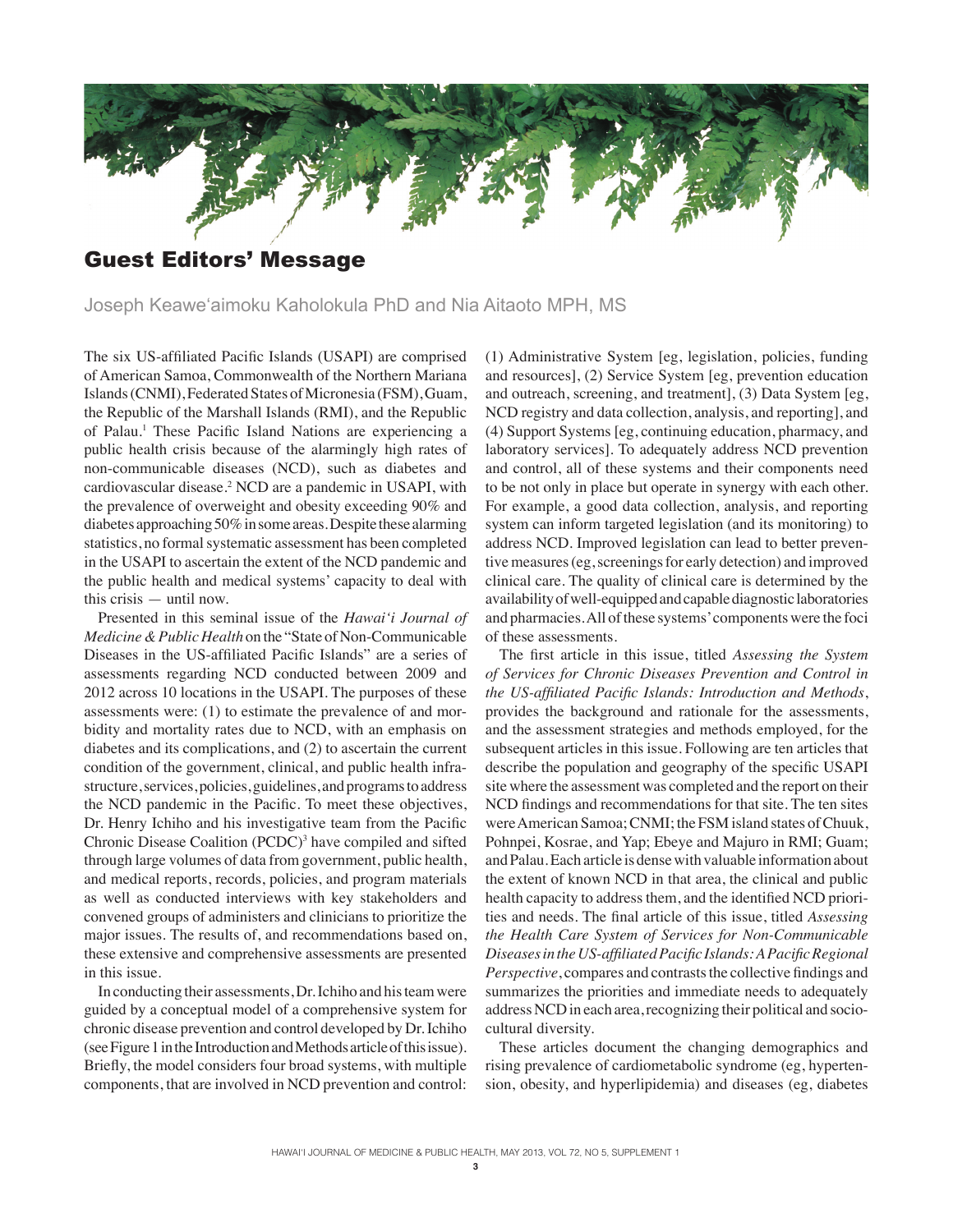

Joseph Keawe'aimoku Kaholokula PhD and Nia Aitaoto MPH, MS

The six US-affiliated Pacific Islands (USAPI) are comprised of American Samoa, Commonwealth of the Northern Mariana Islands (CNMI), Federated States of Micronesia (FSM), Guam, the Republic of the Marshall Islands (RMI), and the Republic of Palau.<sup>1</sup> These Pacific Island Nations are experiencing a public health crisis because of the alarmingly high rates of non-communicable diseases (NCD), such as diabetes and cardiovascular disease.<sup>2</sup> NCD are a pandemic in USAPI, with the prevalence of overweight and obesity exceeding 90% and diabetes approaching 50% in some areas. Despite these alarming statistics, no formal systematic assessment has been completed in the USAPI to ascertain the extent of the NCD pandemic and the public health and medical systems' capacity to deal with this crisis — until now.

Presented in this seminal issue of the *Hawai'i Journal of Medicine & Public Health* on the "State of Non-Communicable Diseases in the US-affiliated Pacific Islands" are a series of assessments regarding NCD conducted between 2009 and 2012 across 10 locations in the USAPI. The purposes of these assessments were: (1) to estimate the prevalence of and morbidity and mortality rates due to NCD, with an emphasis on diabetes and its complications, and (2) to ascertain the current condition of the government, clinical, and public health infrastructure, services, policies, guidelines, and programs to address the NCD pandemic in the Pacific. To meet these objectives, Dr. Henry Ichiho and his investigative team from the Pacific Chronic Disease Coalition (PCDC)<sup>3</sup> have compiled and sifted through large volumes of data from government, public health, and medical reports, records, policies, and program materials as well as conducted interviews with key stakeholders and convened groups of administers and clinicians to prioritize the major issues. The results of, and recommendations based on, these extensive and comprehensive assessments are presented in this issue.

In conducting their assessments, Dr. Ichiho and his team were guided by a conceptual model of a comprehensive system for chronic disease prevention and control developed by Dr. Ichiho (see Figure 1 in the Introduction and Methods article of this issue). Briefly, the model considers four broad systems, with multiple components, that are involved in NCD prevention and control:

(1) Administrative System [eg, legislation, policies, funding and resources], (2) Service System [eg, prevention education and outreach, screening, and treatment], (3) Data System [eg, NCD registry and data collection, analysis, and reporting], and (4) Support Systems [eg, continuing education, pharmacy, and laboratory services]. To adequately address NCD prevention and control, all of these systems and their components need to be not only in place but operate in synergy with each other. For example, a good data collection, analysis, and reporting system can inform targeted legislation (and its monitoring) to address NCD. Improved legislation can lead to better preventive measures (eg, screenings for early detection) and improved clinical care. The quality of clinical care is determined by the availability of well-equipped and capable diagnostic laboratories and pharmacies. All of these systems' components were the foci of these assessments.

The first article in this issue, titled *Assessing the System of Services for Chronic Diseases Prevention and Control in the US-affiliated Pacific Islands: Introduction and Methods*, provides the background and rationale for the assessments, and the assessment strategies and methods employed, for the subsequent articles in this issue. Following are ten articles that describe the population and geography of the specific USAPI site where the assessment was completed and the report on their NCD findings and recommendations for that site. The ten sites were American Samoa; CNMI; the FSM island states of Chuuk, Pohnpei, Kosrae, and Yap; Ebeye and Majuro in RMI; Guam; and Palau. Each article is dense with valuable information about the extent of known NCD in that area, the clinical and public health capacity to address them, and the identified NCD priorities and needs. The final article of this issue, titled *Assessing the Health Care System of Services for Non-Communicable Diseases in the US-affiliated Pacific Islands: A Pacific Regional Perspective*, compares and contrasts the collective findings and summarizes the priorities and immediate needs to adequately address NCD in each area, recognizing their political and sociocultural diversity.

These articles document the changing demographics and rising prevalence of cardiometabolic syndrome (eg, hypertension, obesity, and hyperlipidemia) and diseases (eg, diabetes